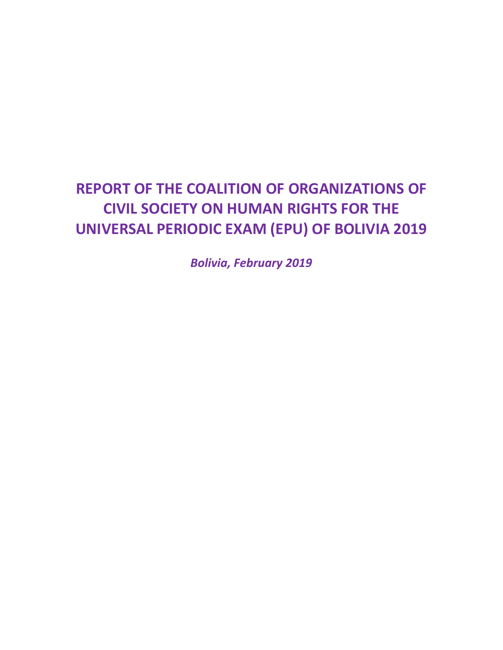## **REPORT OF THE COALITION OF ORGANIZATIONS OF CIVIL SOCIETY ON HUMAN RIGHTS FOR THE UNIVERSAL PERIODIC EXAM (EPU) OF BOLIVIA 2019**

*Bolivia, February 2019*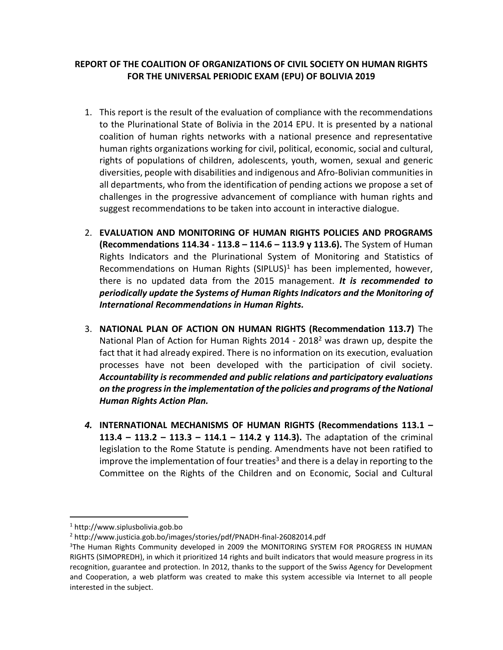## **REPORT OF THE COALITION OF ORGANIZATIONS OF CIVIL SOCIETY ON HUMAN RIGHTS FOR THE UNIVERSAL PERIODIC EXAM (EPU) OF BOLIVIA 2019**

- 1. This report is the result of the evaluation of compliance with the recommendations to the Plurinational State of Bolivia in the 2014 EPU. It is presented by a national coalition of human rights networks with a national presence and representative human rights organizations working for civil, political, economic, social and cultural, rights of populations of children, adolescents, youth, women, sexual and generic diversities, people with disabilities and indigenous and Afro-Bolivian communities in all departments, who from the identification of pending actions we propose a set of challenges in the progressive advancement of compliance with human rights and suggest recommendations to be taken into account in interactive dialogue.
- 2. **EVALUATION AND MONITORING OF HUMAN RIGHTS POLICIES AND PROGRAMS (Recommendations 114.34 - 113.8 – 114.6 – 113.9 y 113.6).** The System of Human Rights Indicators and the Plurinational System of Monitoring and Statistics of Recommendations on Human Rights (SIPLUS) $<sup>1</sup>$  has been implemented, however,</sup> there is no updated data from the 2015 management. *It is recommended to periodically update the Systems of Human Rights Indicators and the Monitoring of International Recommendations in Human Rights.*
- 3. **NATIONAL PLAN OF ACTION ON HUMAN RIGHTS (Recommendation 113.7)** The National Plan of Action for Human Rights 2014 - 2018<sup>2</sup> was drawn up, despite the fact that it had already expired. There is no information on its execution, evaluation processes have not been developed with the participation of civil society. *Accountability is recommended and public relations and participatory evaluations on the progress in the implementation of the policies and programs of the National Human Rights Action Plan.*
- *4.* **INTERNATIONAL MECHANISMS OF HUMAN RIGHTS (Recommendations 113.1 – 113.4 – 113.2 – 113.3 – 114.1 – 114.2 y 114.3).** The adaptation of the criminal legislation to the Rome Statute is pending. Amendments have not been ratified to improve the implementation of four treaties<sup>3</sup> and there is a delay in reporting to the Committee on the Rights of the Children and on Economic, Social and Cultural

<sup>1</sup> http://www.siplusbolivia.gob.bo

<sup>2</sup> http://www.justicia.gob.bo/images/stories/pdf/PNADH-final-26082014.pdf

<sup>&</sup>lt;sup>3</sup>The Human Rights Community developed in 2009 the MONITORING SYSTEM FOR PROGRESS IN HUMAN RIGHTS (SIMOPREDH), in which it prioritized 14 rights and built indicators that would measure progress in its recognition, guarantee and protection. In 2012, thanks to the support of the Swiss Agency for Development and Cooperation, a web platform was created to make this system accessible via Internet to all people interested in the subject.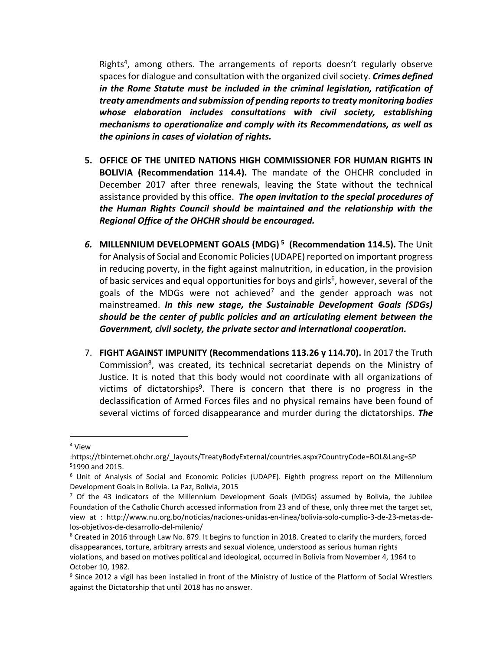Rights<sup>4</sup>, among others. The arrangements of reports doesn't regularly observe spaces for dialogue and consultation with the organized civil society. *Crimes defined in the Rome Statute must be included in the criminal legislation, ratification of treaty amendments and submission of pending reports to treaty monitoring bodies whose elaboration includes consultations with civil society, establishing mechanisms to operationalize and comply with its Recommendations, as well as the opinions in cases of violation of rights.*

- **5. OFFICE OF THE UNITED NATIONS HIGH COMMISSIONER FOR HUMAN RIGHTS IN BOLIVIA (Recommendation 114.4).** The mandate of the OHCHR concluded in December 2017 after three renewals, leaving the State without the technical assistance provided by this office. *The open invitation to the special procedures of the Human Rights Council should be maintained and the relationship with the Regional Office of the OHCHR should be encouraged.*
- *6.* **MILLENNIUM DEVELOPMENT GOALS (MDG) <sup>5</sup> (Recommendation 114.5).** The Unit for Analysis of Social and Economic Policies (UDAPE) reported on important progress in reducing poverty, in the fight against malnutrition, in education, in the provision of basic services and equal opportunities for boys and girls<sup>6</sup>, however, several of the goals of the MDGs were not achieved<sup>7</sup> and the gender approach was not mainstreamed. *In this new stage, the Sustainable Development Goals (SDGs) should be the center of public policies and an articulating element between the Government, civil society, the private sector and international cooperation.*
- 7. **FIGHT AGAINST IMPUNITY (Recommendations 113.26 y 114.70).** In 2017 the Truth Commission<sup>8</sup>, was created, its technical secretariat depends on the Ministry of Justice. It is noted that this body would not coordinate with all organizations of victims of dictatorships<sup>9</sup>. There is concern that there is no progress in the declassification of Armed Forces files and no physical remains have been found of several victims of forced disappearance and murder during the dictatorships. *The*

<sup>4</sup> View

<sup>:</sup>https://tbinternet.ohchr.org/\_layouts/TreatyBodyExternal/countries.aspx?CountryCode=BOL&Lang=SP <sup>5</sup>1990 and 2015.

<sup>&</sup>lt;sup>6</sup> Unit of Analysis of Social and Economic Policies (UDAPE). Eighth progress report on the Millennium Development Goals in Bolivia. La Paz, Bolivia, 2015

<sup>&</sup>lt;sup>7</sup> Of the 43 indicators of the Millennium Development Goals (MDGs) assumed by Bolivia, the Jubilee Foundation of the Catholic Church accessed information from 23 and of these, only three met the target set, view at : http://www.nu.org.bo/noticias/naciones-unidas-en-linea/bolivia-solo-cumplio-3-de-23-metas-delos-objetivos-de-desarrollo-del-milenio/

<sup>&</sup>lt;sup>8</sup> Created in 2016 through Law No. 879. It begins to function in 2018. Created to clarify the murders, forced disappearances, torture, arbitrary arrests and sexual violence, understood as serious human rights violations, and based on motives political and ideological, occurred in Bolivia from November 4, 1964 to October 10, 1982.

<sup>&</sup>lt;sup>9</sup> Since 2012 a vigil has been installed in front of the Ministry of Justice of the Platform of Social Wrestlers against the Dictatorship that until 2018 has no answer.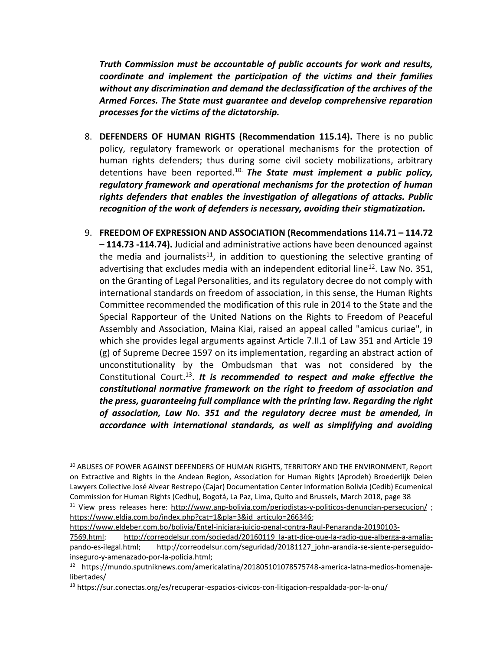*Truth Commission must be accountable of public accounts for work and results, coordinate and implement the participation of the victims and their families without any discrimination and demand the declassification of the archives of the Armed Forces. The State must guarantee and develop comprehensive reparation processes for the victims of the dictatorship.*

- 8. **DEFENDERS OF HUMAN RIGHTS (Recommendation 115.14).** There is no public policy, regulatory framework or operational mechanisms for the protection of human rights defenders; thus during some civil society mobilizations, arbitrary detentions have been reported. 10. *The State must implement a public policy, regulatory framework and operational mechanisms for the protection of human rights defenders that enables the investigation of allegations of attacks. Public recognition of the work of defenders is necessary, avoiding their stigmatization.*
- 9. **FREEDOM OF EXPRESSION AND ASSOCIATION (Recommendations 114.71 – 114.72 – 114.73 -114.74).** Judicial and administrative actions have been denounced against the media and journalists<sup>11</sup>, in addition to questioning the selective granting of advertising that excludes media with an independent editorial line<sup>12</sup>. Law No. 351, on the Granting of Legal Personalities, and its regulatory decree do not comply with international standards on freedom of association, in this sense, the Human Rights Committee recommended the modification of this rule in 2014 to the State and the Special Rapporteur of the United Nations on the Rights to Freedom of Peaceful Assembly and Association, Maina Kiai, raised an appeal called "amicus curiae", in which she provides legal arguments against Article 7.II.1 of Law 351 and Article 19 (g) of Supreme Decree 1597 on its implementation, regarding an abstract action of unconstitutionality by the Ombudsman that was not considered by the Constitutional Court.<sup>13</sup>. It is recommended to respect and make effective the *constitutional normative framework on the right to freedom of association and the press, guaranteeing full compliance with the printing law. Regarding the right of association, Law No. 351 and the regulatory decree must be amended, in accordance with international standards, as well as simplifying and avoiding*

[https://www.eldia.com.bo/index.php?cat=1&pla=3&id\\_articulo=266346;](https://www.eldia.com.bo/index.php?cat=1&pla=3&id_articulo=266346)

<sup>&</sup>lt;sup>10</sup> ABUSES OF POWER AGAINST DEFENDERS OF HUMAN RIGHTS, TERRITORY AND THE ENVIRONMENT, Report on Extractive and Rights in the Andean Region, Association for Human Rights (Aprodeh) Broederlijk Delen Lawyers Collective José Alvear Restrepo (Cajar) Documentation Center Information Bolivia (Cedib) Ecumenical Commission for Human Rights (Cedhu), Bogotá, La Paz, Lima, Quito and Brussels, March 2018, page 38 <sup>11</sup> View press releases here:<http://www.anp-bolivia.com/periodistas-y-politicos-denuncian-persecucion/>;

[https://www.eldeber.com.bo/bolivia/Entel-iniciara-juicio-penal-contra-Raul-Penaranda-20190103-](https://www.eldeber.com.bo/bolivia/Entel-iniciara-juicio-penal-contra-Raul-Penaranda-20190103-7569.html) [7569.html;](https://www.eldeber.com.bo/bolivia/Entel-iniciara-juicio-penal-contra-Raul-Penaranda-20190103-7569.html) [http://correodelsur.com/sociedad/20160119\\_la-att-dice-que-la-radio-que-alberga-a-amalia](http://correodelsur.com/sociedad/20160119_la-att-dice-que-la-radio-que-alberga-a-amalia-pando-es-ilegal.html)[pando-es-ilegal.html;](http://correodelsur.com/sociedad/20160119_la-att-dice-que-la-radio-que-alberga-a-amalia-pando-es-ilegal.html) [http://correodelsur.com/seguridad/20181127\\_john-arandia-se-siente-perseguido](http://correodelsur.com/seguridad/20181127_john-arandia-se-siente-perseguido-inseguro-y-amenazado-por-la-policia.html)[inseguro-y-amenazado-por-la-policia.html;](http://correodelsur.com/seguridad/20181127_john-arandia-se-siente-perseguido-inseguro-y-amenazado-por-la-policia.html)

<sup>12</sup> https://mundo.sputniknews.com/americalatina/201805101078575748-america-latna-medios-homenajelibertades/

<sup>13</sup> https://sur.conectas.org/es/recuperar-espacios-civicos-con-litigacion-respaldada-por-la-onu/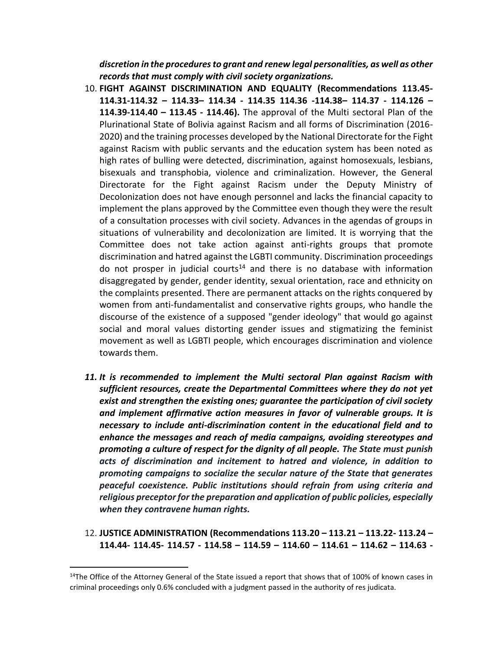*discretion in the procedures to grant and renew legal personalities, as well as other records that must comply with civil society organizations.*

- 10. **FIGHT AGAINST DISCRIMINATION AND EQUALITY (Recommendations 113.45- 114.31-114.32 – 114.33– 114.34 - 114.35 114.36 -114.38– 114.37 - 114.126 – 114.39-114.40 – 113.45 - 114.46).** The approval of the Multi sectoral Plan of the Plurinational State of Bolivia against Racism and all forms of Discrimination (2016- 2020) and the training processes developed by the National Directorate for the Fight against Racism with public servants and the education system has been noted as high rates of bulling were detected, discrimination, against homosexuals, lesbians, bisexuals and transphobia, violence and criminalization. However, the General Directorate for the Fight against Racism under the Deputy Ministry of Decolonization does not have enough personnel and lacks the financial capacity to implement the plans approved by the Committee even though they were the result of a consultation processes with civil society. Advances in the agendas of groups in situations of vulnerability and decolonization are limited. It is worrying that the Committee does not take action against anti-rights groups that promote discrimination and hatred against the LGBTI community. Discrimination proceedings do not prosper in judicial courts<sup>14</sup> and there is no database with information disaggregated by gender, gender identity, sexual orientation, race and ethnicity on the complaints presented. There are permanent attacks on the rights conquered by women from anti-fundamentalist and conservative rights groups, who handle the discourse of the existence of a supposed "gender ideology" that would go against social and moral values distorting gender issues and stigmatizing the feminist movement as well as LGBTI people, which encourages discrimination and violence towards them.
- *11. It is recommended to implement the Multi sectoral Plan against Racism with sufficient resources, create the Departmental Committees where they do not yet exist and strengthen the existing ones; guarantee the participation of civil society and implement affirmative action measures in favor of vulnerable groups. It is necessary to include anti-discrimination content in the educational field and to enhance the messages and reach of media campaigns, avoiding stereotypes and promoting a culture of respect for the dignity of all people. The State must punish acts of discrimination and incitement to hatred and violence, in addition to promoting campaigns to socialize the secular nature of the State that generates peaceful coexistence. Public institutions should refrain from using criteria and religious preceptor for the preparation and application of public policies, especially when they contravene human rights.*
- 12. **JUSTICE ADMINISTRATION (Recommendations 113.20 – 113.21 – 113.22- 113.24 – 114.44- 114.45- 114.57 - 114.58 – 114.59 – 114.60 – 114.61 – 114.62 – 114.63 -**

<sup>&</sup>lt;sup>14</sup>The Office of the Attorney General of the State issued a report that shows that of 100% of known cases in criminal proceedings only 0.6% concluded with a judgment passed in the authority of res judicata.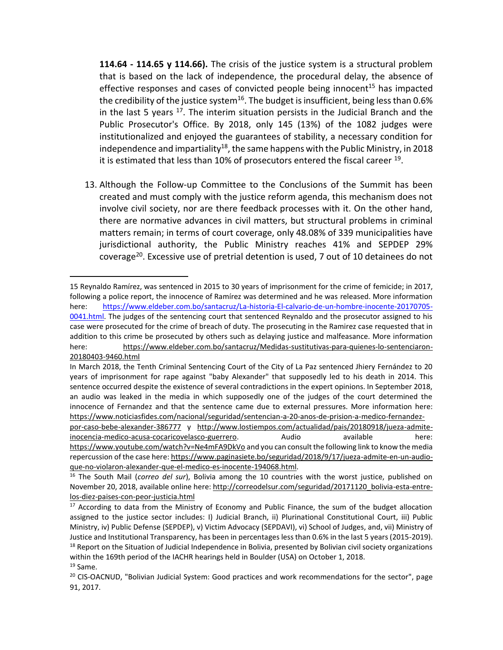**114.64 - 114.65 y 114.66).** The crisis of the justice system is a structural problem that is based on the lack of independence, the procedural delay, the absence of effective responses and cases of convicted people being innocent<sup>15</sup> has impacted the credibility of the justice system $^{16}$ . The budget is insufficient, being less than 0.6% in the last 5 years  $17$ . The interim situation persists in the Judicial Branch and the Public Prosecutor's Office. By 2018, only 145 (13%) of the 1082 judges were institutionalized and enjoyed the guarantees of stability, a necessary condition for independence and impartiality<sup>18</sup>, the same happens with the Public Ministry, in 2018 it is estimated that less than 10% of prosecutors entered the fiscal career <sup>19</sup>.

13. Although the Follow-up Committee to the Conclusions of the Summit has been created and must comply with the justice reform agenda, this mechanism does not involve civil society, nor are there feedback processes with it. On the other hand, there are normative advances in civil matters, but structural problems in criminal matters remain; in terms of court coverage, only 48.08% of 339 municipalities have jurisdictional authority, the Public Ministry reaches 41% and SEPDEP 29% coverage<sup>20</sup>. Excessive use of pretrial detention is used, 7 out of 10 detainees do not

 $\overline{a}$ 15 Reynaldo Ramírez, was sentenced in 2015 to 30 years of imprisonment for the crime of femicide; in 2017, following a police report, the innocence of Ramírez was determined and he was released. More information here: [https://www.eldeber.com.bo/santacruz/La-historia-El-calvario-de-un-hombre-inocente-20170705-](https://www.eldeber.com.bo/santacruz/La-historia-El-calvario-de-un-hombre-inocente-20170705-0041.html) [0041.html.](https://www.eldeber.com.bo/santacruz/La-historia-El-calvario-de-un-hombre-inocente-20170705-0041.html) The judges of the sentencing court that sentenced Reynaldo and the prosecutor assigned to his case were prosecuted for the crime of breach of duty. The prosecuting in the Ramirez case requested that in addition to this crime be prosecuted by others such as delaying justice and malfeasance. More information here: [https://www.eldeber.com.bo/santacruz/Medidas-sustitutivas-para-quienes-lo-sentenciaron-](https://www.eldeber.com.bo/santacruz/Medidas-sustitutivas-para-quienes-lo-sentenciaron-20180403-9460.html)[20180403-9460.html](https://www.eldeber.com.bo/santacruz/Medidas-sustitutivas-para-quienes-lo-sentenciaron-20180403-9460.html)

In March 2018, the Tenth Criminal Sentencing Court of the City of La Paz sentenced Jhiery Fernández to 20 years of imprisonment for rape against "baby Alexander" that supposedly led to his death in 2014. This sentence occurred despite the existence of several contradictions in the expert opinions. In September 2018, an audio was leaked in the media in which supposedly one of the judges of the court determined the innocence of Fernandez and that the sentence came due to external pressures. More information here: [https://www.noticiasfides.com/nacional/seguridad/sentencian-a-20-anos-de-prision-a-medico-fernandez-](https://www.noticiasfides.com/nacional/seguridad/sentencian-a-20-anos-de-prision-a-medico-fernandez-por-caso-bebe-alexander-386777)

[por-caso-bebe-alexander-386777](https://www.noticiasfides.com/nacional/seguridad/sentencian-a-20-anos-de-prision-a-medico-fernandez-por-caso-bebe-alexander-386777) y [http://www.lostiempos.com/actualidad/pais/20180918/jueza-admite](http://www.lostiempos.com/actualidad/pais/20180918/jueza-admite-inocencia-medico-acusa-cocaricovelasco-guerrero)[inocencia-medico-acusa-cocaricovelasco-guerrero.](http://www.lostiempos.com/actualidad/pais/20180918/jueza-admite-inocencia-medico-acusa-cocaricovelasco-guerrero) Audio available here: <https://www.youtube.com/watch?v=Ne4mFA9DkVo> and you can consult the following link to know the media

repercussion of the case here[: https://www.paginasiete.bo/seguridad/2018/9/17/jueza-admite-en-un-audio](https://www.paginasiete.bo/seguridad/2018/9/17/jueza-admite-en-un-audio-que-no-violaron-alexander-que-el-medico-es-inocente-194068.html)[que-no-violaron-alexander-que-el-medico-es-inocente-194068.html.](https://www.paginasiete.bo/seguridad/2018/9/17/jueza-admite-en-un-audio-que-no-violaron-alexander-que-el-medico-es-inocente-194068.html)

<sup>16</sup> The South Mail (*correo del sur*), Bolivia among the 10 countries with the worst justice, published on November 20, 2018, available online here[: http://correodelsur.com/seguridad/20171120\\_bolivia-esta-entre](http://correodelsur.com/seguridad/20171120_bolivia-esta-entre-los-diez-paises-con-peor-justicia.html)[los-diez-paises-con-peor-justicia.html](http://correodelsur.com/seguridad/20171120_bolivia-esta-entre-los-diez-paises-con-peor-justicia.html)

<sup>&</sup>lt;sup>17</sup> According to data from the Ministry of Economy and Public Finance, the sum of the budget allocation assigned to the justice sector includes: I) Judicial Branch, ii) Plurinational Constitutional Court, iii) Public Ministry, iv) Public Defense (SEPDEP), v) Victim Advocacy (SEPDAVI), vi) School of Judges, and, vii) Ministry of Justice and Institutional Transparency, has been in percentages less than 0.6% in the last 5 years (2015-2019).  $18$  Report on the Situation of Judicial Independence in Bolivia, presented by Bolivian civil society organizations within the 169th period of the IACHR hearings held in Boulder (USA) on October 1, 2018.

<sup>19</sup> Same.

<sup>&</sup>lt;sup>20</sup> CIS-OACNUD, "Bolivian Judicial System: Good practices and work recommendations for the sector", page 91, 2017.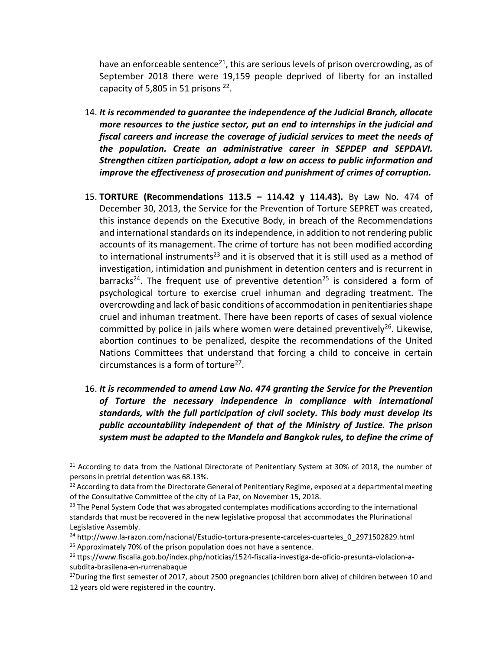have an enforceable sentence<sup>21</sup>, this are serious levels of prison overcrowding, as of September 2018 there were 19,159 people deprived of liberty for an installed capacity of 5,805 in 51 prisons  $^{22}$ .

- 14. *It is recommended to guarantee the independence of the Judicial Branch, allocate more resources to the justice sector, put an end to internships in the judicial and fiscal careers and increase the coverage of judicial services to meet the needs of the population. Create an administrative career in SEPDEP and SEPDAVI. Strengthen citizen participation, adopt a law on access to public information and improve the effectiveness of prosecution and punishment of crimes of corruption.*
- 15. **TORTURE (Recommendations 113.5 – 114.42 y 114.43).** By Law No. 474 of December 30, 2013, the Service for the Prevention of Torture SEPRET was created, this instance depends on the Executive Body, in breach of the Recommendations and international standards on its independence, in addition to not rendering public accounts of its management. The crime of torture has not been modified according to international instruments<sup>23</sup> and it is observed that it is still used as a method of investigation, intimidation and punishment in detention centers and is recurrent in barracks<sup>24</sup>. The frequent use of preventive detention<sup>25</sup> is considered a form of psychological torture to exercise cruel inhuman and degrading treatment. The overcrowding and lack of basic conditions of accommodation in penitentiaries shape cruel and inhuman treatment. There have been reports of cases of sexual violence committed by police in jails where women were detained preventively<sup>26</sup>. Likewise, abortion continues to be penalized, despite the recommendations of the United Nations Committees that understand that forcing a child to conceive in certain circumstances is a form of torture $^{27}$ .
- 16. *It is recommended to amend Law No. 474 granting the Service for the Prevention of Torture the necessary independence in compliance with international standards, with the full participation of civil society. This body must develop its public accountability independent of that of the Ministry of Justice. The prison system must be adapted to the Mandela and Bangkok rules, to define the crime of*

 $21$  According to data from the National Directorate of Penitentiary System at 30% of 2018, the number of persons in pretrial detention was 68.13%.

 $22$  According to data from the Directorate General of Penitentiary Regime, exposed at a departmental meeting of the Consultative Committee of the city of La Paz, on November 15, 2018.

 $23$  The Penal System Code that was abrogated contemplates modifications according to the international standards that must be recovered in the new legislative proposal that accommodates the Plurinational Legislative Assembly.

<sup>&</sup>lt;sup>24</sup> http://www.la-razon.com/nacional/Estudio-tortura-presente-carceles-cuarteles\_0\_2971502829.html <sup>25</sup> Approximately 70% of the prison population does not have a sentence.

<sup>26</sup> ttps://www.fiscalia.gob.bo/index.php/noticias/1524-fiscalia-investiga-de-oficio-presunta-violacion-asubdita-brasilena-en-rurrenabaque

<sup>&</sup>lt;sup>27</sup>During the first semester of 2017, about 2500 pregnancies (children born alive) of children between 10 and 12 years old were registered in the country.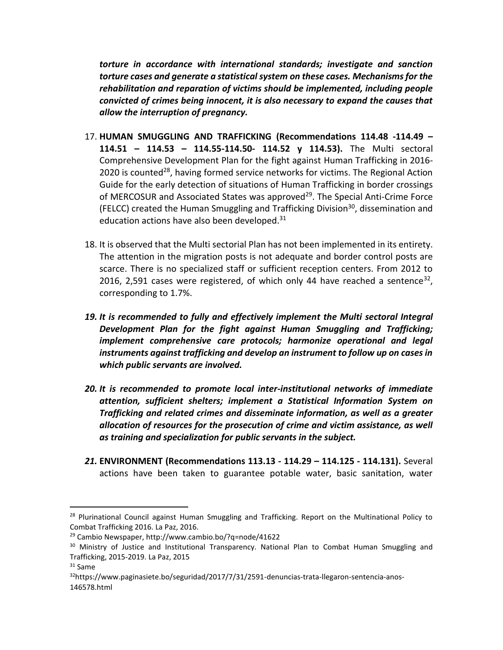*torture in accordance with international standards; investigate and sanction torture cases and generate a statistical system on these cases. Mechanisms for the rehabilitation and reparation of victims should be implemented, including people convicted of crimes being innocent, it is also necessary to expand the causes that allow the interruption of pregnancy.*

- 17. **HUMAN SMUGGLING AND TRAFFICKING (Recommendations 114.48 -114.49 – 114.51 – 114.53 – 114.55-114.50- 114.52 y 114.53).** The Multi sectoral Comprehensive Development Plan for the fight against Human Trafficking in 2016- 2020 is counted<sup>28</sup>, having formed service networks for victims. The Regional Action Guide for the early detection of situations of Human Trafficking in border crossings of MERCOSUR and Associated States was approved<sup>29</sup>. The Special Anti-Crime Force (FELCC) created the Human Smuggling and Trafficking Division<sup>30</sup>, dissemination and education actions have also been developed. 31
- 18. It is observed that the Multi sectorial Plan has not been implemented in its entirety. The attention in the migration posts is not adequate and border control posts are scarce. There is no specialized staff or sufficient reception centers. From 2012 to 2016, 2,591 cases were registered, of which only 44 have reached a sentence<sup>32</sup>, corresponding to 1.7%.
- *19. It is recommended to fully and effectively implement the Multi sectoral Integral Development Plan for the fight against Human Smuggling and Trafficking; implement comprehensive care protocols; harmonize operational and legal instruments against trafficking and develop an instrument to follow up on cases in which public servants are involved.*
- *20. It is recommended to promote local inter-institutional networks of immediate attention, sufficient shelters; implement a Statistical Information System on Trafficking and related crimes and disseminate information, as well as a greater allocation of resources for the prosecution of crime and victim assistance, as well as training and specialization for public servants in the subject.*
- *21.* **ENVIRONMENT (Recommendations 113.13 - 114.29 – 114.125 - 114.131).** Several actions have been taken to guarantee potable water, basic sanitation, water

<sup>&</sup>lt;sup>28</sup> Plurinational Council against Human Smuggling and Trafficking. Report on the Multinational Policy to Combat Trafficking 2016. La Paz, 2016.

<sup>29</sup> Cambio Newspaper, http://www.cambio.bo/?q=node/41622

<sup>&</sup>lt;sup>30</sup> Ministry of Justice and Institutional Transparency. National Plan to Combat Human Smuggling and Trafficking, 2015-2019. La Paz, 2015

<sup>31</sup> Same

<sup>32</sup>https://www.paginasiete.bo/seguridad/2017/7/31/2591-denuncias-trata-llegaron-sentencia-anos-146578.html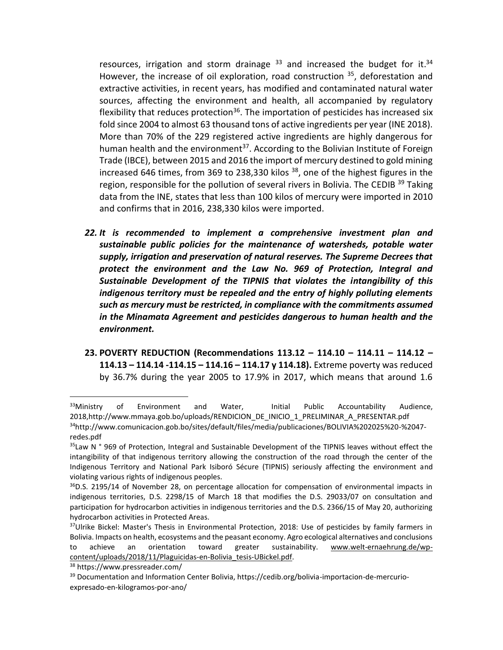resources, irrigation and storm drainage  $33$  and increased the budget for it. $34$ However, the increase of oil exploration, road construction <sup>35</sup>, deforestation and extractive activities, in recent years, has modified and contaminated natural water sources, affecting the environment and health, all accompanied by regulatory flexibility that reduces protection<sup>36</sup>. The importation of pesticides has increased six fold since 2004 to almost 63 thousand tons of active ingredients per year (INE 2018). More than 70% of the 229 registered active ingredients are highly dangerous for human health and the environment<sup>37</sup>. According to the Bolivian Institute of Foreign Trade (IBCE), between 2015 and 2016 the import of mercury destined to gold mining increased 646 times, from 369 to 238,330 kilos <sup>38</sup>, one of the highest figures in the region, responsible for the pollution of several rivers in Bolivia. The CEDIB <sup>39</sup> Taking data from the INE, states that less than 100 kilos of mercury were imported in 2010 and confirms that in 2016, 238,330 kilos were imported.

- *22. It is recommended to implement a comprehensive investment plan and sustainable public policies for the maintenance of watersheds, potable water supply, irrigation and preservation of natural reserves. The Supreme Decrees that protect the environment and the Law No. 969 of Protection, Integral and Sustainable Development of the TIPNIS that violates the intangibility of this indigenous territory must be repealed and the entry of highly polluting elements such as mercury must be restricted, in compliance with the commitments assumed in the Minamata Agreement and pesticides dangerous to human health and the environment.*
- **23. POVERTY REDUCTION (Recommendations 113.12 – 114.10 – 114.11 – 114.12 – 114.13 – 114.14 -114.15 – 114.16 – 114.17 y 114.18).** Extreme poverty was reduced by 36.7% during the year 2005 to 17.9% in 2017, which means that around 1.6

<sup>&</sup>lt;sup>33</sup>Ministry of Environment and Water, Initial Public Accountability Audience, 2018,http://www.mmaya.gob.bo/uploads/RENDICION\_DE\_INICIO\_1\_PRELIMINAR\_A\_PRESENTAR.pdf

<sup>34</sup>http://www.comunicacion.gob.bo/sites/default/files/media/publicaciones/BOLIVIA%202025%20-%2047 redes.pdf

<sup>&</sup>lt;sup>35</sup>Law N ° 969 of Protection, Integral and Sustainable Development of the TIPNIS leaves without effect the intangibility of that indigenous territory allowing the construction of the road through the center of the Indigenous Territory and National Park Isiboró Sécure (TIPNIS) seriously affecting the environment and violating various rights of indigenous peoples.

 $36$ D.S. 2195/14 of November 28, on percentage allocation for compensation of environmental impacts in indigenous territories, D.S. 2298/15 of March 18 that modifies the D.S. 29033/07 on consultation and participation for hydrocarbon activities in indigenous territories and the D.S. 2366/15 of May 20, authorizing hydrocarbon activities in Protected Areas.

<sup>&</sup>lt;sup>37</sup>Ulrike Bickel: Master's Thesis in Environmental Protection, 2018: Use of pesticides by family farmers in Bolivia. Impacts on health, ecosystems and the peasant economy. Agro ecological alternatives and conclusions to achieve an orientation toward greater sustainability. [www.welt-ernaehrung.de/wp](http://www.welt-ernaehrung.de/wp-content/uploads/2018/11/Plaguicidas-en-Bolivia_tesis-UBickel.pdf)[content/uploads/2018/11/Plaguicidas-en-Bolivia\\_tesis-UBickel.pdf.](http://www.welt-ernaehrung.de/wp-content/uploads/2018/11/Plaguicidas-en-Bolivia_tesis-UBickel.pdf)

<sup>38</sup> https://www.pressreader.com/

<sup>39</sup> Documentation and Information Center Bolivia, https://cedib.org/bolivia-importacion-de-mercurioexpresado-en-kilogramos-por-ano/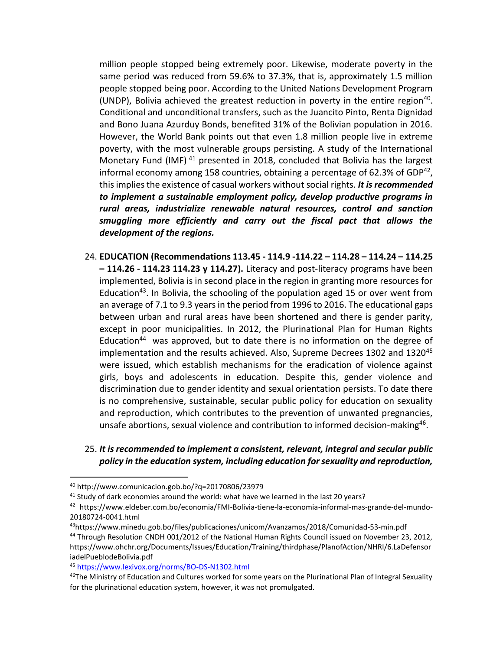million people stopped being extremely poor. Likewise, moderate poverty in the same period was reduced from 59.6% to 37.3%, that is, approximately 1.5 million people stopped being poor. According to the United Nations Development Program (UNDP), Bolivia achieved the greatest reduction in poverty in the entire region<sup>40</sup>. Conditional and unconditional transfers, such as the Juancito Pinto, Renta Dignidad and Bono Juana Azurduy Bonds, benefited 31% of the Bolivian population in 2016. However, the World Bank points out that even 1.8 million people live in extreme poverty, with the most vulnerable groups persisting. A study of the International Monetary Fund (IMF) <sup>41</sup> presented in 2018, concluded that Bolivia has the largest informal economy among 158 countries, obtaining a percentage of 62.3% of GDP $^{42}$ , this implies the existence of casual workers without social rights. *It is recommended to implement a sustainable employment policy, develop productive programs in rural areas, industrialize renewable natural resources, control and sanction smuggling more efficiently and carry out the fiscal pact that allows the development of the regions.*

- 24. **EDUCATION (Recommendations 113.45 - 114.9 -114.22 – 114.28 – 114.24 – 114.25 – 114.26 - 114.23 114.23 y 114.27).** Literacy and post-literacy programs have been implemented, Bolivia is in second place in the region in granting more resources for Education<sup>43</sup>. In Bolivia, the schooling of the population aged 15 or over went from an average of 7.1 to 9.3 years in the period from 1996 to 2016. The educational gaps between urban and rural areas have been shortened and there is gender parity, except in poor municipalities. In 2012, the Plurinational Plan for Human Rights Education<sup>44</sup> was approved, but to date there is no information on the degree of implementation and the results achieved. Also, Supreme Decrees 1302 and 1320<sup>45</sup> were issued, which establish mechanisms for the eradication of violence against girls, boys and adolescents in education. Despite this, gender violence and discrimination due to gender identity and sexual orientation persists. To date there is no comprehensive, sustainable, secular public policy for education on sexuality and reproduction, which contributes to the prevention of unwanted pregnancies, unsafe abortions, sexual violence and contribution to informed decision-making<sup>46</sup>.
- 25. *It is recommended to implement a consistent, relevant, integral and secular public policy in the education system, including education for sexuality and reproduction,*

 $\overline{a}$ 

<sup>43</sup>https://www.minedu.gob.bo/files/publicaciones/unicom/Avanzamos/2018/Comunidad-53-min.pdf

<sup>40</sup> http://www.comunicacion.gob.bo/?q=20170806/23979

<sup>&</sup>lt;sup>41</sup> Study of dark economies around the world: what have we learned in the last 20 years?

<sup>42</sup> https://www.eldeber.com.bo/economia/FMI-Bolivia-tiene-la-economia-informal-mas-grande-del-mundo-20180724-0041.html

<sup>44</sup> Through Resolution CNDH 001/2012 of the National Human Rights Council issued on November 23, 2012, https://www.ohchr.org/Documents/Issues/Education/Training/thirdphase/PlanofAction/NHRI/6.LaDefensor iadelPueblodeBolivia.pdf

<sup>45</sup> <https://www.lexivox.org/norms/BO-DS-N1302.html>

<sup>&</sup>lt;sup>46</sup>The Ministry of Education and Cultures worked for some years on the Plurinational Plan of Integral Sexuality for the plurinational education system, however, it was not promulgated.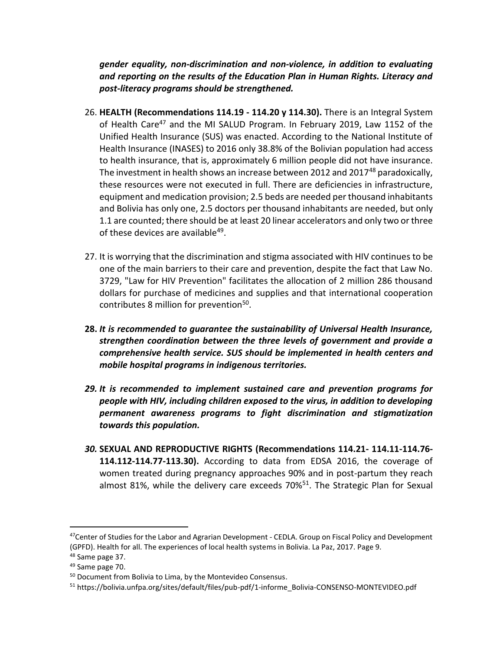*gender equality, non-discrimination and non-violence, in addition to evaluating and reporting on the results of the Education Plan in Human Rights. Literacy and post-literacy programs should be strengthened.*

- 26. **HEALTH (Recommendations 114.19 - 114.20 y 114.30).** There is an Integral System of Health Care<sup>47</sup> and the MI SALUD Program. In February 2019, Law 1152 of the Unified Health Insurance (SUS) was enacted. According to the National Institute of Health Insurance (INASES) to 2016 only 38.8% of the Bolivian population had access to health insurance, that is, approximately 6 million people did not have insurance. The investment in health shows an increase between 2012 and 2017<sup>48</sup> paradoxically, these resources were not executed in full. There are deficiencies in infrastructure, equipment and medication provision; 2.5 beds are needed per thousand inhabitants and Bolivia has only one, 2.5 doctors per thousand inhabitants are needed, but only 1.1 are counted; there should be at least 20 linear accelerators and only two or three of these devices are available<sup>49</sup>.
- 27. It is worrying that the discrimination and stigma associated with HIV continues to be one of the main barriers to their care and prevention, despite the fact that Law No. 3729, "Law for HIV Prevention" facilitates the allocation of 2 million 286 thousand dollars for purchase of medicines and supplies and that international cooperation contributes 8 million for prevention<sup>50</sup>.
- **28.** *It is recommended to guarantee the sustainability of Universal Health Insurance, strengthen coordination between the three levels of government and provide a comprehensive health service. SUS should be implemented in health centers and mobile hospital programs in indigenous territories.*
- *29. It is recommended to implement sustained care and prevention programs for people with HIV, including children exposed to the virus, in addition to developing permanent awareness programs to fight discrimination and stigmatization towards this population.*
- *30.* **SEXUAL AND REPRODUCTIVE RIGHTS (Recommendations 114.21- 114.11-114.76- 114.112-114.77-113.30).** According to data from EDSA 2016, the coverage of women treated during pregnancy approaches 90% and in post-partum they reach almost 81%, while the delivery care exceeds  $70\%$ <sup>51</sup>. The Strategic Plan for Sexual

<sup>&</sup>lt;sup>47</sup>Center of Studies for the Labor and Agrarian Development - CEDLA. Group on Fiscal Policy and Development (GPFD). Health for all. The experiences of local health systems in Bolivia. La Paz, 2017. Page 9.

<sup>&</sup>lt;sup>48</sup> Same page 37.

<sup>49</sup> Same page 70.

<sup>50</sup> Document from Bolivia to Lima, by the Montevideo Consensus.

<sup>51</sup> https://bolivia.unfpa.org/sites/default/files/pub-pdf/1-informe\_Bolivia-CONSENSO-MONTEVIDEO.pdf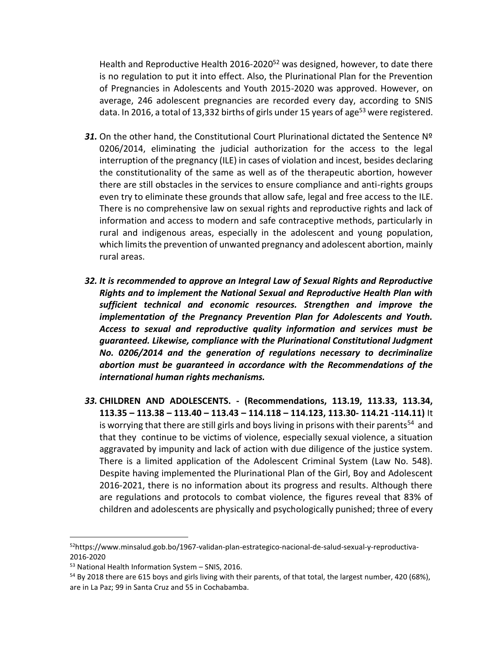Health and Reproductive Health 2016-2020<sup>52</sup> was designed, however, to date there is no regulation to put it into effect. Also, the Plurinational Plan for the Prevention of Pregnancies in Adolescents and Youth 2015-2020 was approved. However, on average, 246 adolescent pregnancies are recorded every day, according to SNIS data. In 2016, a total of 13,332 births of girls under 15 years of age<sup>53</sup> were registered.

- **31.** On the other hand, the Constitutional Court Plurinational dictated the Sentence Nº 0206/2014, eliminating the judicial authorization for the access to the legal interruption of the pregnancy (ILE) in cases of violation and incest, besides declaring the constitutionality of the same as well as of the therapeutic abortion, however there are still obstacles in the services to ensure compliance and anti-rights groups even try to eliminate these grounds that allow safe, legal and free access to the ILE. There is no comprehensive law on sexual rights and reproductive rights and lack of information and access to modern and safe contraceptive methods, particularly in rural and indigenous areas, especially in the adolescent and young population, which limits the prevention of unwanted pregnancy and adolescent abortion, mainly rural areas.
- *32. It is recommended to approve an Integral Law of Sexual Rights and Reproductive Rights and to implement the National Sexual and Reproductive Health Plan with sufficient technical and economic resources. Strengthen and improve the implementation of the Pregnancy Prevention Plan for Adolescents and Youth. Access to sexual and reproductive quality information and services must be guaranteed. Likewise, compliance with the Plurinational Constitutional Judgment No. 0206/2014 and the generation of regulations necessary to decriminalize abortion must be guaranteed in accordance with the Recommendations of the international human rights mechanisms.*
- *33.* **CHILDREN AND ADOLESCENTS. - (Recommendations, 113.19, 113.33, 113.34, 113.35 – 113.38 – 113.40 – 113.43 – 114.118 – 114.123, 113.30- 114.21 -114.11)** It is worrying that there are still girls and boys living in prisons with their parents<sup>54</sup> and that they continue to be victims of violence, especially sexual violence, a situation aggravated by impunity and lack of action with due diligence of the justice system. There is a limited application of the Adolescent Criminal System (Law No. 548). Despite having implemented the Plurinational Plan of the Girl, Boy and Adolescent 2016-2021, there is no information about its progress and results. Although there are regulations and protocols to combat violence, the figures reveal that 83% of children and adolescents are physically and psychologically punished; three of every

l

<sup>52</sup>https://www.minsalud.gob.bo/1967-validan-plan-estrategico-nacional-de-salud-sexual-y-reproductiva-2016-2020

<sup>53</sup> National Health Information System – SNIS, 2016.

<sup>&</sup>lt;sup>54</sup> By 2018 there are 615 boys and girls living with their parents, of that total, the largest number, 420 (68%), are in La Paz; 99 in Santa Cruz and 55 in Cochabamba.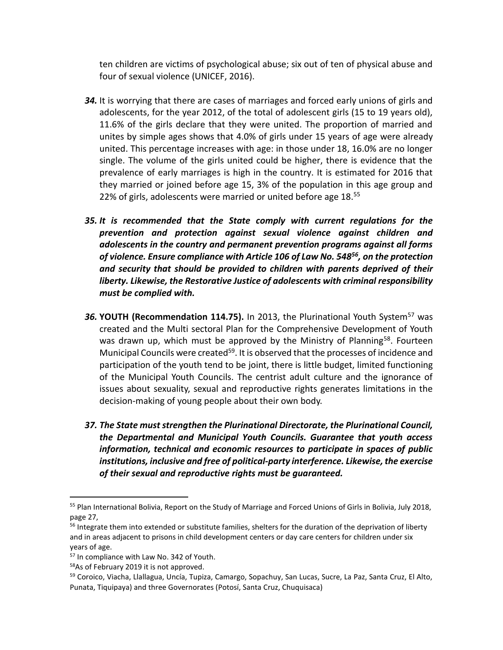ten children are victims of psychological abuse; six out of ten of physical abuse and four of sexual violence (UNICEF, 2016).

- *34.* It is worrying that there are cases of marriages and forced early unions of girls and adolescents, for the year 2012, of the total of adolescent girls (15 to 19 years old), 11.6% of the girls declare that they were united. The proportion of married and unites by simple ages shows that 4.0% of girls under 15 years of age were already united. This percentage increases with age: in those under 18, 16.0% are no longer single. The volume of the girls united could be higher, there is evidence that the prevalence of early marriages is high in the country. It is estimated for 2016 that they married or joined before age 15, 3% of the population in this age group and 22% of girls, adolescents were married or united before age 18.<sup>55</sup>
- *35. It is recommended that the State comply with current regulations for the prevention and protection against sexual violence against children and adolescents in the country and permanent prevention programs against all forms of violence. Ensure compliance with Article 106 of Law No. 548<sup>56</sup>, on the protection and security that should be provided to children with parents deprived of their liberty. Likewise, the Restorative Justice of adolescents with criminal responsibility must be complied with.*
- **36. YOUTH (Recommendation 114.75).** In 2013, the Plurinational Youth System<sup>57</sup> was created and the Multi sectoral Plan for the Comprehensive Development of Youth was drawn up, which must be approved by the Ministry of Planning<sup>58</sup>. Fourteen Municipal Councils were created<sup>59</sup>. It is observed that the processes of incidence and participation of the youth tend to be joint, there is little budget, limited functioning of the Municipal Youth Councils. The centrist adult culture and the ignorance of issues about sexuality, sexual and reproductive rights generates limitations in the decision-making of young people about their own body.
- *37. The State must strengthen the Plurinational Directorate, the Plurinational Council, the Departmental and Municipal Youth Councils. Guarantee that youth access information, technical and economic resources to participate in spaces of public institutions, inclusive and free of political-party interference. Likewise, the exercise of their sexual and reproductive rights must be guaranteed.*

<sup>&</sup>lt;sup>55</sup> Plan International Bolivia, Report on the Study of Marriage and Forced Unions of Girls in Bolivia, July 2018, page 27,

<sup>&</sup>lt;sup>56</sup> Integrate them into extended or substitute families, shelters for the duration of the deprivation of liberty and in areas adjacent to prisons in child development centers or day care centers for children under six years of age.

<sup>&</sup>lt;sup>57</sup> In compliance with Law No. 342 of Youth.

<sup>&</sup>lt;sup>58</sup>As of February 2019 it is not approved.

<sup>59</sup> Coroico, Viacha, Llallagua, Uncía, Tupiza, Camargo, Sopachuy, San Lucas, Sucre, La Paz, Santa Cruz, El Alto, Punata, Tiquipaya) and three Governorates (Potosí, Santa Cruz, Chuquisaca)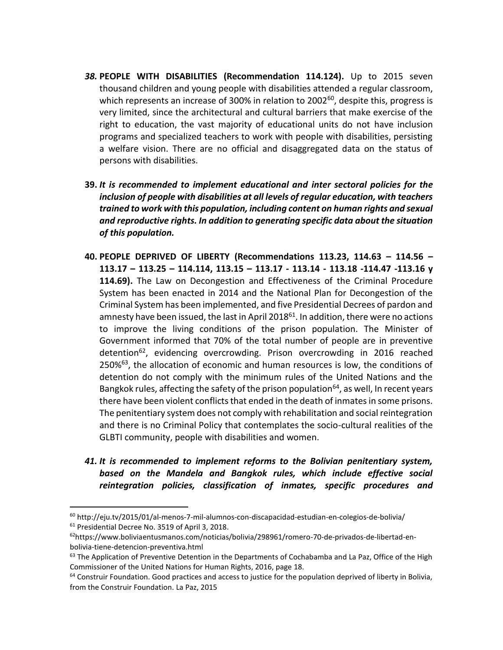- *38.* **PEOPLE WITH DISABILITIES (Recommendation 114.124).** Up to 2015 seven thousand children and young people with disabilities attended a regular classroom, which represents an increase of 300% in relation to 2002<sup>60</sup>, despite this, progress is very limited, since the architectural and cultural barriers that make exercise of the right to education, the vast majority of educational units do not have inclusion programs and specialized teachers to work with people with disabilities, persisting a welfare vision. There are no official and disaggregated data on the status of persons with disabilities.
- **39.** *It is recommended to implement educational and inter sectoral policies for the inclusion of people with disabilities at all levels of regular education, with teachers trained to work with this population, including content on human rights and sexual and reproductive rights. In addition to generating specific data about the situation of this population.*
- **40. PEOPLE DEPRIVED OF LIBERTY (Recommendations 113.23, 114.63 – 114.56 – 113.17 – 113.25 – 114.114, 113.15 – 113.17 - 113.14 - 113.18 -114.47 -113.16 y 114.69).** The Law on Decongestion and Effectiveness of the Criminal Procedure System has been enacted in 2014 and the National Plan for Decongestion of the Criminal System has been implemented, and five Presidential Decrees of pardon and amnesty have been issued, the last in April  $2018^{61}$ . In addition, there were no actions to improve the living conditions of the prison population. The Minister of Government informed that 70% of the total number of people are in preventive detention<sup>62</sup>, evidencing overcrowding. Prison overcrowding in 2016 reached 250%<sup>63</sup>, the allocation of economic and human resources is low, the conditions of detention do not comply with the minimum rules of the United Nations and the Bangkok rules, affecting the safety of the prison population<sup>64</sup>, as well, In recent years there have been violent conflicts that ended in the death of inmates in some prisons. The penitentiary system does not comply with rehabilitation and social reintegration and there is no Criminal Policy that contemplates the socio-cultural realities of the GLBTI community, people with disabilities and women.
- *41. It is recommended to implement reforms to the Bolivian penitentiary system, based on the Mandela and Bangkok rules, which include effective social reintegration policies, classification of inmates, specific procedures and*

 $60$  http://eju.tv/2015/01/al-menos-7-mil-alumnos-con-discapacidad-estudian-en-colegios-de-bolivia/ <sup>61</sup> Presidential Decree No. 3519 of April 3, 2018.

<sup>62</sup>https://www.boliviaentusmanos.com/noticias/bolivia/298961/romero-70-de-privados-de-libertad-enbolivia-tiene-detencion-preventiva.html

 $63$  The Application of Preventive Detention in the Departments of Cochabamba and La Paz, Office of the High Commissioner of the United Nations for Human Rights, 2016, page 18.

<sup>&</sup>lt;sup>64</sup> Construir Foundation. Good practices and access to justice for the population deprived of liberty in Bolivia, from the Construir Foundation. La Paz, 2015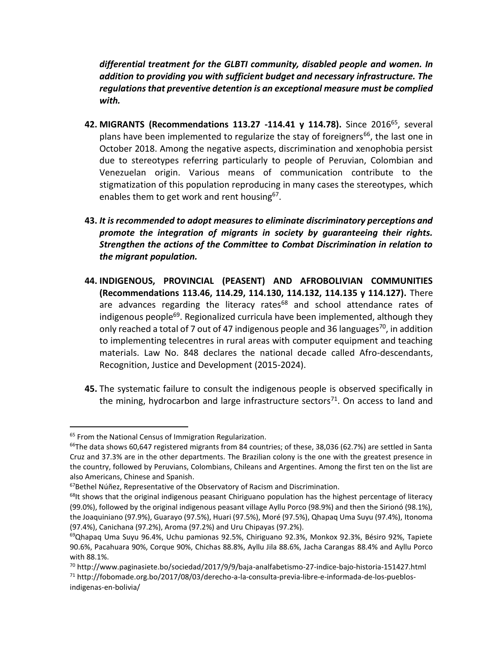*differential treatment for the GLBTI community, disabled people and women. In addition to providing you with sufficient budget and necessary infrastructure. The regulations that preventive detention is an exceptional measure must be complied with.*

- **42. MIGRANTS (Recommendations 113.27 -114.41 y 114.78).** Since 2016<sup>65</sup>, several plans have been implemented to regularize the stay of foreigners<sup>66</sup>, the last one in October 2018. Among the negative aspects, discrimination and xenophobia persist due to stereotypes referring particularly to people of Peruvian, Colombian and Venezuelan origin. Various means of communication contribute to the stigmatization of this population reproducing in many cases the stereotypes, which enables them to get work and rent housing<sup>67</sup>.
- **43.** *It is recommended to adopt measures to eliminate discriminatory perceptions and promote the integration of migrants in society by guaranteeing their rights. Strengthen the actions of the Committee to Combat Discrimination in relation to the migrant population.*
- **44. INDIGENOUS, PROVINCIAL (PEASENT) AND AFROBOLIVIAN COMMUNITIES (Recommendations 113.46, 114.29, 114.130, 114.132, 114.135 y 114.127).** There are advances regarding the literacy rates $68$  and school attendance rates of indigenous people<sup>69</sup>. Regionalized curricula have been implemented, although they only reached a total of 7 out of 47 indigenous people and 36 languages<sup>70</sup>, in addition to implementing telecentres in rural areas with computer equipment and teaching materials. Law No. 848 declares the national decade called Afro-descendants, Recognition, Justice and Development (2015-2024).
- **45.** The systematic failure to consult the indigenous people is observed specifically in the mining, hydrocarbon and large infrastructure sectors $71$ . On access to land and

<sup>&</sup>lt;sup>65</sup> From the National Census of Immigration Regularization.

 $66$ The data shows 60,647 registered migrants from 84 countries; of these, 38,036 (62.7%) are settled in Santa Cruz and 37.3% are in the other departments. The Brazilian colony is the one with the greatest presence in the country, followed by Peruvians, Colombians, Chileans and Argentines. Among the first ten on the list are also Americans, Chinese and Spanish.

 $67$ Bethel Núñez, Representative of the Observatory of Racism and Discrimination.

<sup>&</sup>lt;sup>68</sup>It shows that the original indigenous peasant Chiriguano population has the highest percentage of literacy (99.0%), followed by the original indigenous peasant village Ayllu Porco (98.9%) and then the Sirionó (98.1%), the Joaquiniano (97.9%), Guarayo (97.5%), Huari (97.5%), Moré (97.5%), Qhapaq Uma Suyu (97.4%), Itonoma (97.4%), Canichana (97.2%), Aroma (97.2%) and Uru Chipayas (97.2%).

<sup>&</sup>lt;sup>69</sup>Qhapaq Uma Suyu 96.4%, Uchu pamionas 92.5%, Chiriguano 92.3%, Monkox 92.3%, Bésiro 92%, Tapiete 90.6%, Pacahuara 90%, Corque 90%, Chichas 88.8%, Ayllu Jila 88.6%, Jacha Carangas 88.4% and Ayllu Porco with 88.1%.

 $70$  http://www.paginasiete.bo/sociedad/2017/9/9/baja-analfabetismo-27-indice-bajo-historia-151427.html

<sup>71</sup> http://fobomade.org.bo/2017/08/03/derecho-a-la-consulta-previa-libre-e-informada-de-los-pueblosindigenas-en-bolivia/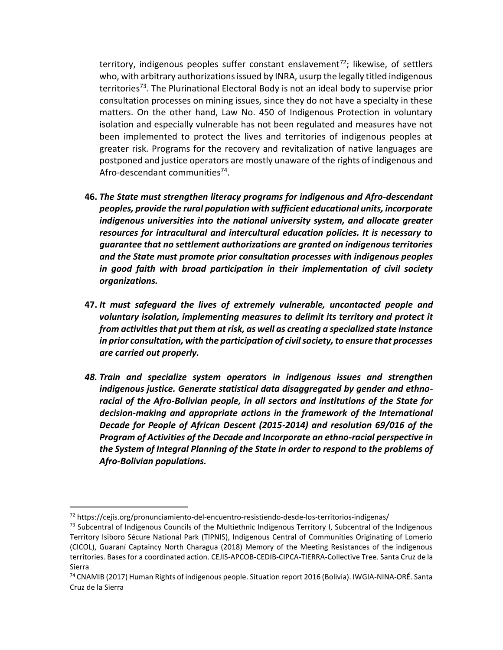territory, indigenous peoples suffer constant enslavement<sup>72</sup>; likewise, of settlers who, with arbitrary authorizations issued by INRA, usurp the legally titled indigenous territories<sup>73</sup>. The Plurinational Electoral Body is not an ideal body to supervise prior consultation processes on mining issues, since they do not have a specialty in these matters. On the other hand, Law No. 450 of Indigenous Protection in voluntary isolation and especially vulnerable has not been regulated and measures have not been implemented to protect the lives and territories of indigenous peoples at greater risk. Programs for the recovery and revitalization of native languages are postponed and justice operators are mostly unaware of the rights of indigenous and Afro-descendant communities<sup>74</sup>.

- **46.** *The State must strengthen literacy programs for indigenous and Afro-descendant peoples, provide the rural population with sufficient educational units, incorporate indigenous universities into the national university system, and allocate greater resources for intracultural and intercultural education policies. It is necessary to guarantee that no settlement authorizations are granted on indigenous territories and the State must promote prior consultation processes with indigenous peoples in good faith with broad participation in their implementation of civil society organizations.*
- **47.** *It must safeguard the lives of extremely vulnerable, uncontacted people and voluntary isolation, implementing measures to delimit its territory and protect it from activities that put them at risk, as well as creating a specialized state instance in prior consultation, with the participation of civil society, to ensure that processes are carried out properly.*
- *48. Train and specialize system operators in indigenous issues and strengthen indigenous justice. Generate statistical data disaggregated by gender and ethnoracial of the Afro-Bolivian people, in all sectors and institutions of the State for decision-making and appropriate actions in the framework of the International Decade for People of African Descent (2015-2014) and resolution 69/016 of the Program of Activities of the Decade and Incorporate an ethno-racial perspective in the System of Integral Planning of the State in order to respond to the problems of Afro-Bolivian populations.*

<sup>72</sup> https://cejis.org/pronunciamiento-del-encuentro-resistiendo-desde-los-territorios-indigenas/

 $73$  Subcentral of Indigenous Councils of the Multiethnic Indigenous Territory I, Subcentral of the Indigenous Territory Isiboro Sécure National Park (TIPNIS), Indigenous Central of Communities Originating of Lomerío (CICOL), Guaraní Captaincy North Charagua (2018) Memory of the Meeting Resistances of the indigenous territories. Bases for a coordinated action. CEJIS-APCOB-CEDIB-CIPCA-TIERRA-Collective Tree. Santa Cruz de la Sierra

<sup>74</sup> CNAMIB (2017) Human Rights of indigenous people. Situation report 2016 (Bolivia). IWGIA-NINA-ORÉ. Santa Cruz de la Sierra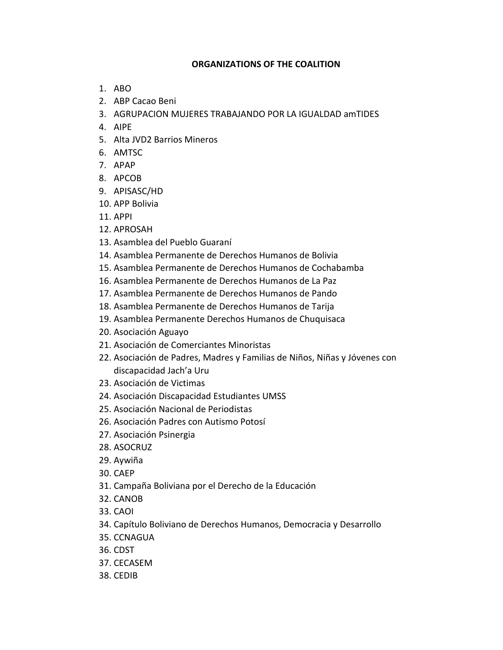## **ORGANIZATIONS OF THE COALITION**

- 1. ABO
- 2. ABP Cacao Beni
- 3. AGRUPACION MUJERES TRABAJANDO POR LA IGUALDAD amTIDES
- 4. AIPE
- 5. Alta JVD2 Barrios Mineros
- 6. AMTSC
- 7. APAP
- 8. APCOB
- 9. APISASC/HD
- 10. APP Bolivia
- 11. APPI
- 12. APROSAH
- 13. Asamblea del Pueblo Guaraní
- 14. Asamblea Permanente de Derechos Humanos de Bolivia
- 15. Asamblea Permanente de Derechos Humanos de Cochabamba
- 16. Asamblea Permanente de Derechos Humanos de La Paz
- 17. Asamblea Permanente de Derechos Humanos de Pando
- 18. Asamblea Permanente de Derechos Humanos de Tarija
- 19. Asamblea Permanente Derechos Humanos de Chuquisaca
- 20. Asociación Aguayo
- 21. Asociación de Comerciantes Minoristas
- 22. Asociación de Padres, Madres y Familias de Niños, Niñas y Jóvenes con discapacidad Jach'a Uru
- 23. Asociación de Victimas
- 24. Asociación Discapacidad Estudiantes UMSS
- 25. Asociación Nacional de Periodistas
- 26. Asociación Padres con Autismo Potosí
- 27. Asociación Psinergia
- 28. ASOCRUZ
- 29. Aywiña
- 30. CAEP
- 31. Campaña Boliviana por el Derecho de la Educación
- 32. CANOB
- 33. CAOI
- 34. Capítulo Boliviano de Derechos Humanos, Democracia y Desarrollo
- 35. CCNAGUA
- 36. CDST
- 37. CECASEM
- 38. CEDIB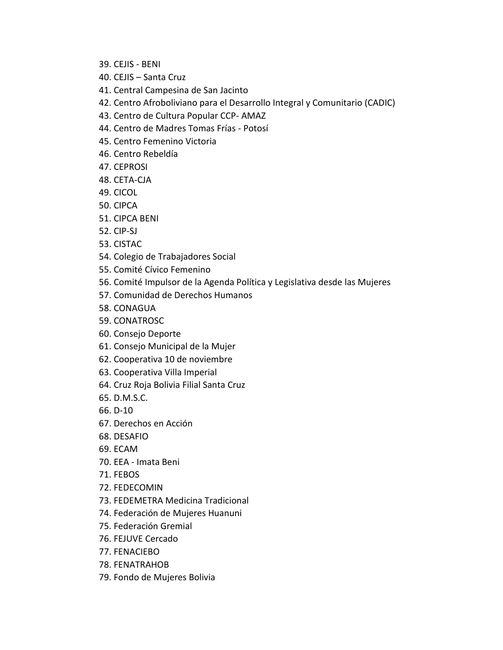- 39. CEJIS BENI
- 40. CEJIS Santa Cruz
- 41. Central Campesina de San Jacinto
- 42. Centro Afroboliviano para el Desarrollo Integral y Comunitario (CADIC)
- 43. Centro de Cultura Popular CCP- AMAZ
- 44. Centro de Madres Tomas Frías Potosí
- 45. Centro Femenino Victoria
- 46. Centro Rebeldía
- 47. CEPROSI
- 48. CETA-CJA
- 49. CICOL
- 50. CIPCA
- 51. CIPCA BENI
- 52. CIP-SJ
- 53. CISTAC
- 54. Colegio de Trabajadores Social
- 55. Comité Cívico Femenino
- 56. Comité Impulsor de la Agenda Política y Legislativa desde las Mujeres
- 57. Comunidad de Derechos Humanos
- 58. CONAGUA
- 59. CONATROSC
- 60. Consejo Deporte
- 61. Consejo Municipal de la Mujer
- 62. Cooperativa 10 de noviembre
- 63. Cooperativa Villa Imperial
- 64. Cruz Roja Bolivia Filial Santa Cruz
- 65. D.M.S.C.
- 66. D-10
- 67. Derechos en Acción
- 68. DESAFIO
- 69. ECAM
- 70. EEA Imata Beni
- 71. FEBOS
- 72. FEDECOMIN
- 73. FEDEMETRA Medicina Tradicional
- 74. Federación de Mujeres Huanuni
- 75. Federación Gremial
- 76. FEJUVE Cercado
- 77. FENACIEBO
- 78. FENATRAHOB
- 79. Fondo de Mujeres Bolivia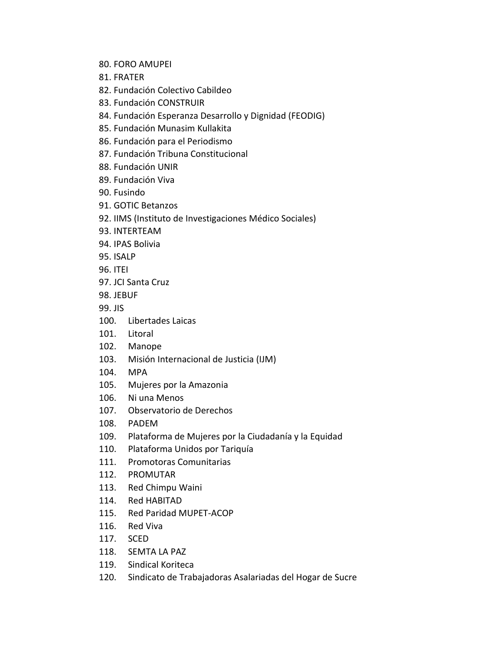- 80. FORO AMUPEI
- 81. FRATER

82. Fundación Colectivo Cabildeo

- 83. Fundación CONSTRUIR
- 84. Fundación Esperanza Desarrollo y Dignidad (FEODIG)
- 85. Fundación Munasim Kullakita
- 86. Fundación para el Periodismo
- 87. Fundación Tribuna Constitucional
- 88. Fundación UNIR
- 89. Fundación Viva
- 90. Fusindo
- 91. GOTIC Betanzos
- 92. IIMS (Instituto de Investigaciones Médico Sociales)
- 93. INTERTEAM
- 94. IPAS Bolivia
- 95. ISALP
- 96. ITEI
- 97. JCI Santa Cruz
- 98. JEBUF
- 99. JIS
- 100. Libertades Laicas
- 101. Litoral
- 102. Manope
- 103. Misión Internacional de Justicia (IJM)
- 104. MPA
- 105. Mujeres por la Amazonia
- 106. Ni una Menos
- 107. Observatorio de Derechos
- 108. PADEM
- 109. Plataforma de Mujeres por la Ciudadanía y la Equidad
- 110. Plataforma Unidos por Tariquía
- 111. Promotoras Comunitarias
- 112. PROMUTAR
- 113. Red Chimpu Waini
- 114. Red HABITAD
- 115. Red Paridad MUPET-ACOP
- 116. Red Viva
- 117. SCED
- 118. SEMTA LA PAZ
- 119. Sindical Koriteca
- 120. Sindicato de Trabajadoras Asalariadas del Hogar de Sucre